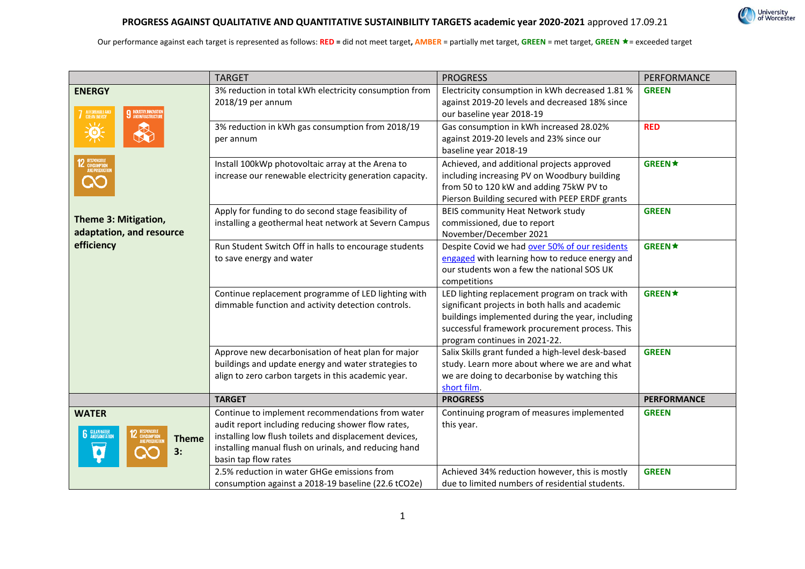

## **PROGRESS AGAINST QUALITATIVE AND QUANTITATIVE SUSTAINBILITY TARGETS academic year 2020-2021** approved 17.09.21

|                                                                   | <b>TARGET</b>                                                                                                                                                                                                                                     | <b>PROGRESS</b>                                                                                                                                                                                                                          | PERFORMANCE        |
|-------------------------------------------------------------------|---------------------------------------------------------------------------------------------------------------------------------------------------------------------------------------------------------------------------------------------------|------------------------------------------------------------------------------------------------------------------------------------------------------------------------------------------------------------------------------------------|--------------------|
| <b>ENERGY</b><br><b>7</b> AFFORDABLE AN<br>9 INDUSTRY, INNOVATION | 3% reduction in total kWh electricity consumption from<br>2018/19 per annum                                                                                                                                                                       | Electricity consumption in kWh decreased 1.81 %<br>against 2019-20 levels and decreased 18% since<br>our baseline year 2018-19                                                                                                           | <b>GREEN</b>       |
| 美                                                                 | 3% reduction in kWh gas consumption from 2018/19<br>per annum                                                                                                                                                                                     | Gas consumption in kWh increased 28.02%<br>against 2019-20 levels and 23% since our<br>baseline year 2018-19                                                                                                                             | <b>RED</b>         |
| 12 RESPONSIBLE<br>CONSUMPTION<br>AND PRODUCTI<br>X                | Install 100kWp photovoltaic array at the Arena to<br>increase our renewable electricity generation capacity.                                                                                                                                      | Achieved, and additional projects approved<br>including increasing PV on Woodbury building<br>from 50 to 120 kW and adding 75kW PV to<br>Pierson Building secured with PEEP ERDF grants                                                  | <b>GREEN★</b>      |
| Theme 3: Mitigation,<br>adaptation, and resource                  | Apply for funding to do second stage feasibility of<br>installing a geothermal heat network at Severn Campus                                                                                                                                      | BEIS community Heat Network study<br>commissioned, due to report<br>November/December 2021                                                                                                                                               | <b>GREEN</b>       |
| efficiency                                                        | Run Student Switch Off in halls to encourage students<br>to save energy and water                                                                                                                                                                 | Despite Covid we had over 50% of our residents<br>engaged with learning how to reduce energy and<br>our students won a few the national SOS UK<br>competitions                                                                           | <b>GREEN★</b>      |
|                                                                   | Continue replacement programme of LED lighting with<br>dimmable function and activity detection controls.                                                                                                                                         | LED lighting replacement program on track with<br>significant projects in both halls and academic<br>buildings implemented during the year, including<br>successful framework procurement process. This<br>program continues in 2021-22. | <b>GREEN★</b>      |
|                                                                   | Approve new decarbonisation of heat plan for major<br>buildings and update energy and water strategies to<br>align to zero carbon targets in this academic year.                                                                                  | Salix Skills grant funded a high-level desk-based<br>study. Learn more about where we are and what<br>we are doing to decarbonise by watching this<br>short film.                                                                        | <b>GREEN</b>       |
|                                                                   | <b>TARGET</b>                                                                                                                                                                                                                                     | <b>PROGRESS</b>                                                                                                                                                                                                                          | <b>PERFORMANCE</b> |
| <b>WATER</b><br><b>6</b> GLEANWATER<br><b>Theme</b><br>3:         | Continue to implement recommendations from water<br>audit report including reducing shower flow rates,<br>installing low flush toilets and displacement devices,<br>installing manual flush on urinals, and reducing hand<br>basin tap flow rates | Continuing program of measures implemented<br>this year.                                                                                                                                                                                 | <b>GREEN</b>       |
|                                                                   | 2.5% reduction in water GHGe emissions from<br>consumption against a 2018-19 baseline (22.6 tCO2e)                                                                                                                                                | Achieved 34% reduction however, this is mostly<br>due to limited numbers of residential students.                                                                                                                                        | <b>GREEN</b>       |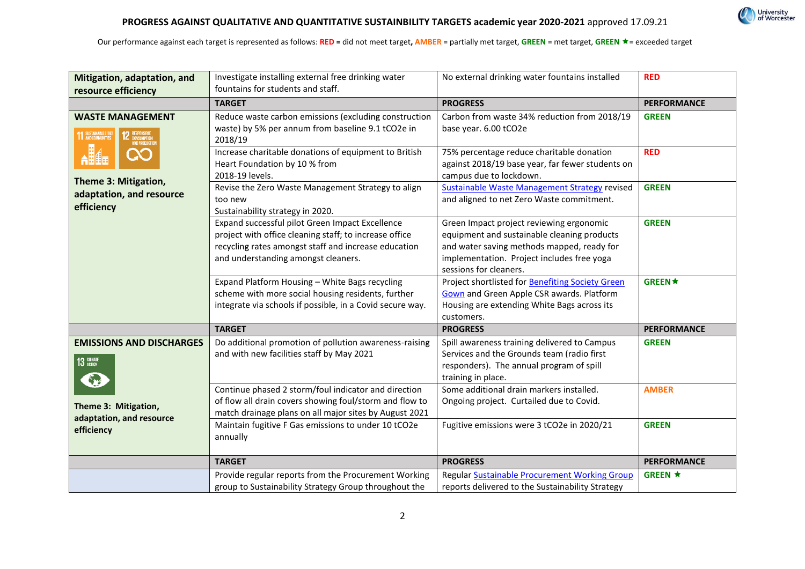

| Mitigation, adaptation, and<br>resource efficiency                                                 | Investigate installing external free drinking water<br>fountains for students and staff.                                                                                                                 | No external drinking water fountains installed                                                                                                                                                                | <b>RED</b>         |
|----------------------------------------------------------------------------------------------------|----------------------------------------------------------------------------------------------------------------------------------------------------------------------------------------------------------|---------------------------------------------------------------------------------------------------------------------------------------------------------------------------------------------------------------|--------------------|
|                                                                                                    | <b>TARGET</b>                                                                                                                                                                                            | <b>PROGRESS</b>                                                                                                                                                                                               | <b>PERFORMANCE</b> |
| <b>WASTE MANAGEMENT</b><br><b>11 SUSTAINABLE CITIES</b><br><b>12</b> RESPONSIBLE<br>AND PRODUCTION | Reduce waste carbon emissions (excluding construction<br>waste) by 5% per annum from baseline 9.1 tCO2e in<br>2018/19                                                                                    | Carbon from waste 34% reduction from 2018/19<br>base year. 6.00 tCO2e                                                                                                                                         | <b>GREEN</b>       |
|                                                                                                    | Increase charitable donations of equipment to British<br>Heart Foundation by 10 % from<br>2018-19 levels.                                                                                                | 75% percentage reduce charitable donation<br>against 2018/19 base year, far fewer students on<br>campus due to lockdown.                                                                                      | <b>RED</b>         |
| Theme 3: Mitigation,<br>adaptation, and resource<br>efficiency                                     | Revise the Zero Waste Management Strategy to align<br>too new<br>Sustainability strategy in 2020.                                                                                                        | <b>Sustainable Waste Management Strategy revised</b><br>and aligned to net Zero Waste commitment.                                                                                                             | <b>GREEN</b>       |
|                                                                                                    | Expand successful pilot Green Impact Excellence<br>project with office cleaning staff; to increase office<br>recycling rates amongst staff and increase education<br>and understanding amongst cleaners. | Green Impact project reviewing ergonomic<br>equipment and sustainable cleaning products<br>and water saving methods mapped, ready for<br>implementation. Project includes free yoga<br>sessions for cleaners. | <b>GREEN</b>       |
|                                                                                                    | Expand Platform Housing - White Bags recycling<br>scheme with more social housing residents, further<br>integrate via schools if possible, in a Covid secure way.                                        | Project shortlisted for Benefiting Society Green<br><b>Gown</b> and Green Apple CSR awards. Platform<br>Housing are extending White Bags across its<br>customers.                                             | <b>GREEN★</b>      |
|                                                                                                    | <b>TARGET</b>                                                                                                                                                                                            | <b>PROGRESS</b>                                                                                                                                                                                               | <b>PERFORMANCE</b> |
| <b>EMISSIONS AND DISCHARGES</b><br>13 GUNATE                                                       | Do additional promotion of pollution awareness-raising<br>and with new facilities staff by May 2021                                                                                                      | Spill awareness training delivered to Campus<br>Services and the Grounds team (radio first<br>responders). The annual program of spill<br>training in place.                                                  | <b>GREEN</b>       |
| Theme 3: Mitigation,<br>adaptation, and resource<br>efficiency                                     | Continue phased 2 storm/foul indicator and direction<br>of flow all drain covers showing foul/storm and flow to<br>match drainage plans on all major sites by August 2021                                | Some additional drain markers installed.<br>Ongoing project. Curtailed due to Covid.                                                                                                                          | <b>AMBER</b>       |
|                                                                                                    | Maintain fugitive F Gas emissions to under 10 tCO2e<br>annually                                                                                                                                          | Fugitive emissions were 3 tCO2e in 2020/21                                                                                                                                                                    | <b>GREEN</b>       |
|                                                                                                    | <b>TARGET</b>                                                                                                                                                                                            | <b>PROGRESS</b>                                                                                                                                                                                               | <b>PERFORMANCE</b> |
|                                                                                                    | Provide regular reports from the Procurement Working<br>group to Sustainability Strategy Group throughout the                                                                                            | Regular Sustainable Procurement Working Group<br>reports delivered to the Sustainability Strategy                                                                                                             | <b>GREEN ★</b>     |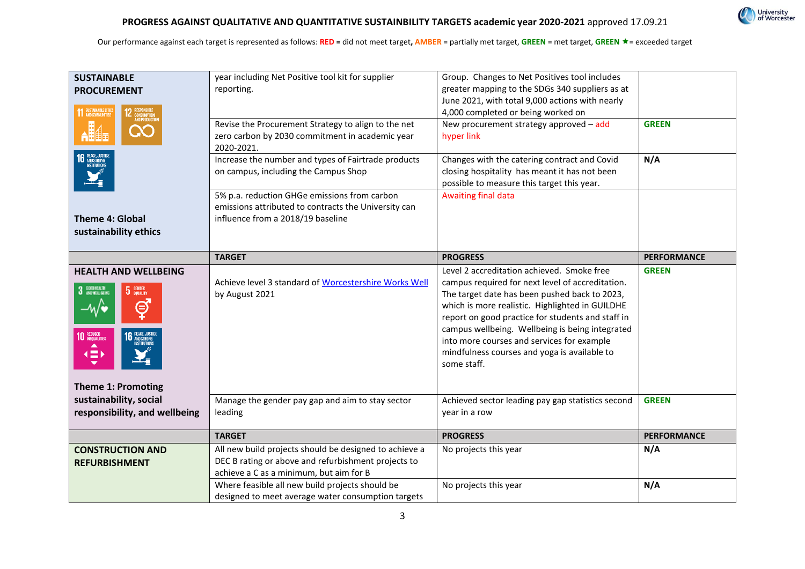| <b>SUSTAINABLE</b><br><b>PROCUREMENT</b><br><b>11 SUSTAINABLE CITIES</b><br><b>Theme 4: Global</b>                                                         | year including Net Positive tool kit for supplier<br>reporting.<br>Revise the Procurement Strategy to align to the net<br>zero carbon by 2030 commitment in academic year<br>2020-2021.<br>Increase the number and types of Fairtrade products<br>on campus, including the Campus Shop<br>5% p.a. reduction GHGe emissions from carbon<br>emissions attributed to contracts the University can<br>influence from a 2018/19 baseline | Group. Changes to Net Positives tool includes<br>greater mapping to the SDGs 340 suppliers as at<br>June 2021, with total 9,000 actions with nearly<br>4,000 completed or being worked on<br>New procurement strategy approved - add<br>hyper link<br>Changes with the catering contract and Covid<br>closing hospitality has meant it has not been<br>possible to measure this target this year.<br>Awaiting final data | <b>GREEN</b><br>N/A |
|------------------------------------------------------------------------------------------------------------------------------------------------------------|-------------------------------------------------------------------------------------------------------------------------------------------------------------------------------------------------------------------------------------------------------------------------------------------------------------------------------------------------------------------------------------------------------------------------------------|--------------------------------------------------------------------------------------------------------------------------------------------------------------------------------------------------------------------------------------------------------------------------------------------------------------------------------------------------------------------------------------------------------------------------|---------------------|
| sustainability ethics                                                                                                                                      |                                                                                                                                                                                                                                                                                                                                                                                                                                     |                                                                                                                                                                                                                                                                                                                                                                                                                          |                     |
|                                                                                                                                                            | <b>TARGET</b>                                                                                                                                                                                                                                                                                                                                                                                                                       | <b>PROGRESS</b>                                                                                                                                                                                                                                                                                                                                                                                                          | <b>PERFORMANCE</b>  |
| <b>HEALTH AND WELLBEING</b><br>3 DODNELL BE<br><b>5</b> GENDER<br>Θ<br>-w/∙<br>10 REDUCED<br>PEACE, JUST<br>AND STRONG<br>(二)<br><b>Theme 1: Promoting</b> | Achieve level 3 standard of Worcestershire Works Well<br>by August 2021                                                                                                                                                                                                                                                                                                                                                             | Level 2 accreditation achieved. Smoke free<br>campus required for next level of accreditation.<br>The target date has been pushed back to 2023,<br>which is more realistic. Highlighted in GUILDHE<br>report on good practice for students and staff in<br>campus wellbeing. Wellbeing is being integrated<br>into more courses and services for example<br>mindfulness courses and yoga is available to<br>some staff.  | <b>GREEN</b>        |
| sustainability, social<br>responsibility, and wellbeing                                                                                                    | Manage the gender pay gap and aim to stay sector<br>leading                                                                                                                                                                                                                                                                                                                                                                         | Achieved sector leading pay gap statistics second<br>year in a row                                                                                                                                                                                                                                                                                                                                                       | <b>GREEN</b>        |
|                                                                                                                                                            | <b>TARGET</b>                                                                                                                                                                                                                                                                                                                                                                                                                       | <b>PROGRESS</b>                                                                                                                                                                                                                                                                                                                                                                                                          | <b>PERFORMANCE</b>  |
| <b>CONSTRUCTION AND</b><br><b>REFURBISHMENT</b>                                                                                                            | All new build projects should be designed to achieve a<br>DEC B rating or above and refurbishment projects to<br>achieve a C as a minimum, but aim for B                                                                                                                                                                                                                                                                            | No projects this year                                                                                                                                                                                                                                                                                                                                                                                                    | N/A                 |
|                                                                                                                                                            | Where feasible all new build projects should be<br>designed to meet average water consumption targets                                                                                                                                                                                                                                                                                                                               | No projects this year                                                                                                                                                                                                                                                                                                                                                                                                    | N/A                 |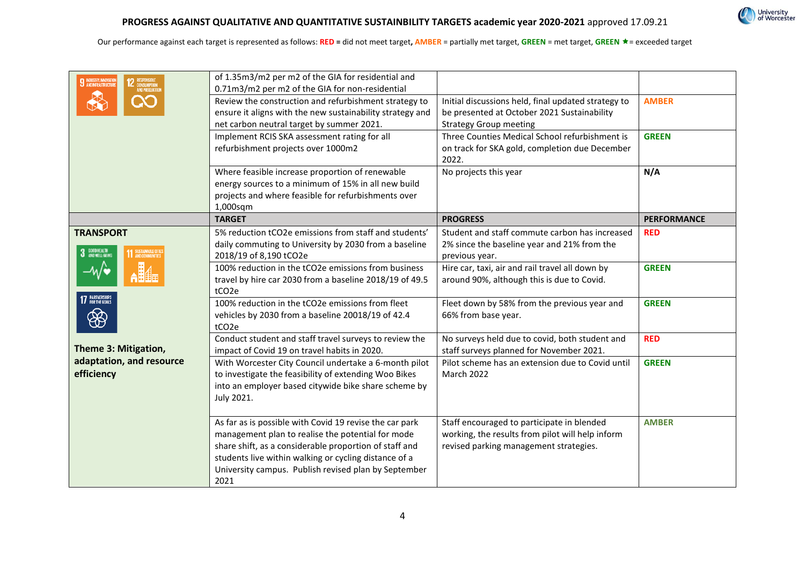| <b>INDUSTRY, INNOVATION</b><br><b>EL ANDINFRASTRUCT</b>  | of 1.35m3/m2 per m2 of the GIA for residential and<br>0.71m3/m2 per m2 of the GIA for non-residential<br>Review the construction and refurbishment strategy to<br>ensure it aligns with the new sustainability strategy and<br>net carbon neutral target by summer 2021.<br>Implement RCIS SKA assessment rating for all<br>refurbishment projects over 1000m2 | Initial discussions held, final updated strategy to<br>be presented at October 2021 Sustainability<br><b>Strategy Group meeting</b><br>Three Counties Medical School refurbishment is<br>on track for SKA gold, completion due December<br>2022. | <b>AMBER</b><br><b>GREEN</b> |
|----------------------------------------------------------|----------------------------------------------------------------------------------------------------------------------------------------------------------------------------------------------------------------------------------------------------------------------------------------------------------------------------------------------------------------|--------------------------------------------------------------------------------------------------------------------------------------------------------------------------------------------------------------------------------------------------|------------------------------|
|                                                          | Where feasible increase proportion of renewable<br>energy sources to a minimum of 15% in all new build<br>projects and where feasible for refurbishments over<br>1,000sqm                                                                                                                                                                                      | No projects this year                                                                                                                                                                                                                            | N/A                          |
|                                                          | <b>TARGET</b>                                                                                                                                                                                                                                                                                                                                                  | <b>PROGRESS</b>                                                                                                                                                                                                                                  | <b>PERFORMANCE</b>           |
| <b>TRANSPORT</b><br><b>COOD HEALTH</b><br>AND WELL-BEING | 5% reduction tCO2e emissions from staff and students'<br>daily commuting to University by 2030 from a baseline<br>2018/19 of 8,190 tCO2e                                                                                                                                                                                                                       | Student and staff commute carbon has increased<br>2% since the baseline year and 21% from the<br>previous year.                                                                                                                                  | <b>RED</b>                   |
| 17 PARTNERSHIPS                                          | 100% reduction in the tCO2e emissions from business<br>travel by hire car 2030 from a baseline 2018/19 of 49.5<br>tCO <sub>2e</sub>                                                                                                                                                                                                                            | Hire car, taxi, air and rail travel all down by<br>around 90%, although this is due to Covid.                                                                                                                                                    | <b>GREEN</b>                 |
|                                                          | 100% reduction in the tCO2e emissions from fleet<br>vehicles by 2030 from a baseline 20018/19 of 42.4<br>tCO <sub>2e</sub>                                                                                                                                                                                                                                     | Fleet down by 58% from the previous year and<br>66% from base year.                                                                                                                                                                              | <b>GREEN</b>                 |
| Theme 3: Mitigation,                                     | Conduct student and staff travel surveys to review the<br>impact of Covid 19 on travel habits in 2020.                                                                                                                                                                                                                                                         | No surveys held due to covid, both student and<br>staff surveys planned for November 2021.                                                                                                                                                       | <b>RED</b>                   |
| adaptation, and resource<br>efficiency                   | With Worcester City Council undertake a 6-month pilot<br>to investigate the feasibility of extending Woo Bikes<br>into an employer based citywide bike share scheme by<br>July 2021.                                                                                                                                                                           | Pilot scheme has an extension due to Covid until<br><b>March 2022</b>                                                                                                                                                                            | <b>GREEN</b>                 |
|                                                          | As far as is possible with Covid 19 revise the car park<br>management plan to realise the potential for mode<br>share shift, as a considerable proportion of staff and<br>students live within walking or cycling distance of a<br>University campus. Publish revised plan by September<br>2021                                                                | Staff encouraged to participate in blended<br>working, the results from pilot will help inform<br>revised parking management strategies.                                                                                                         | <b>AMBER</b>                 |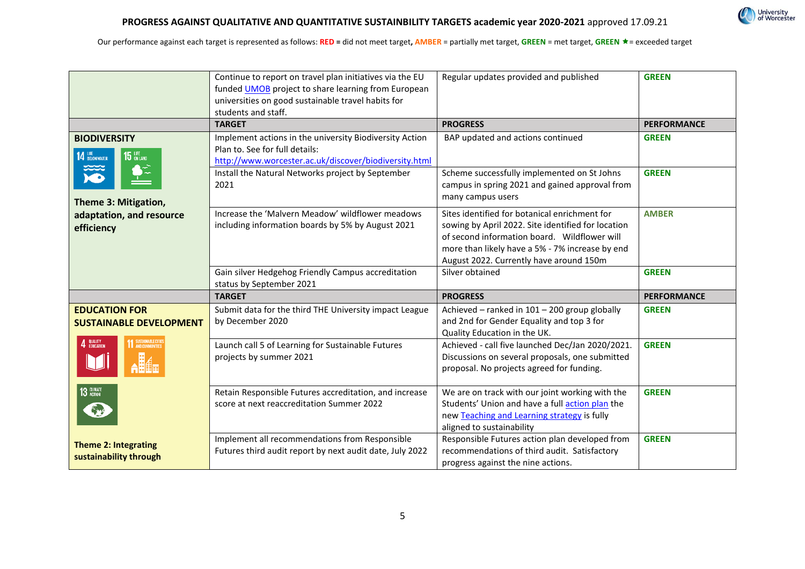

|                                                        | Continue to report on travel plan initiatives via the EU<br>funded UMOB project to share learning from European<br>universities on good sustainable travel habits for<br>students and staff. | Regular updates provided and published                                                                                                                                                                                                            | <b>GREEN</b>       |
|--------------------------------------------------------|----------------------------------------------------------------------------------------------------------------------------------------------------------------------------------------------|---------------------------------------------------------------------------------------------------------------------------------------------------------------------------------------------------------------------------------------------------|--------------------|
|                                                        | <b>TARGET</b>                                                                                                                                                                                | <b>PROGRESS</b>                                                                                                                                                                                                                                   | <b>PERFORMANCE</b> |
| <b>BIODIVERSITY</b><br>14 BELOW WATER<br>$15$ uFE      | Implement actions in the university Biodiversity Action<br>Plan to. See for full details:<br>http://www.worcester.ac.uk/discover/biodiversity.html                                           | BAP updated and actions continued                                                                                                                                                                                                                 | <b>GREEN</b>       |
| Theme 3: Mitigation,                                   | Install the Natural Networks project by September<br>2021                                                                                                                                    | Scheme successfully implemented on St Johns<br>campus in spring 2021 and gained approval from<br>many campus users                                                                                                                                | <b>GREEN</b>       |
| adaptation, and resource<br>efficiency                 | Increase the 'Malvern Meadow' wildflower meadows<br>including information boards by 5% by August 2021                                                                                        | Sites identified for botanical enrichment for<br>sowing by April 2022. Site identified for location<br>of second information board. Wildflower will<br>more than likely have a 5% - 7% increase by end<br>August 2022. Currently have around 150m | <b>AMBER</b>       |
|                                                        | Gain silver Hedgehog Friendly Campus accreditation<br>status by September 2021                                                                                                               | Silver obtained                                                                                                                                                                                                                                   | <b>GREEN</b>       |
|                                                        | <b>TARGET</b>                                                                                                                                                                                | <b>PROGRESS</b>                                                                                                                                                                                                                                   | <b>PERFORMANCE</b> |
| <b>EDUCATION FOR</b><br><b>SUSTAINABLE DEVELOPMENT</b> | Submit data for the third THE University impact League<br>by December 2020                                                                                                                   | Achieved - ranked in 101 - 200 group globally<br>and 2nd for Gender Equality and top 3 for<br>Quality Education in the UK.                                                                                                                        | <b>GREEN</b>       |
| <b>1</b> SUSTAINABLE CITIES<br>QUALITY<br>Education    | Launch call 5 of Learning for Sustainable Futures<br>projects by summer 2021                                                                                                                 | Achieved - call five launched Dec/Jan 2020/2021.<br>Discussions on several proposals, one submitted<br>proposal. No projects agreed for funding.                                                                                                  | <b>GREEN</b>       |
| 13 GUNATE                                              | Retain Responsible Futures accreditation, and increase<br>score at next reaccreditation Summer 2022                                                                                          | We are on track with our joint working with the<br>Students' Union and have a full action plan the<br>new Teaching and Learning strategy is fully<br>aligned to sustainability                                                                    | <b>GREEN</b>       |
| <b>Theme 2: Integrating</b><br>sustainability through  | Implement all recommendations from Responsible<br>Futures third audit report by next audit date, July 2022                                                                                   | Responsible Futures action plan developed from<br>recommendations of third audit. Satisfactory<br>progress against the nine actions.                                                                                                              | <b>GREEN</b>       |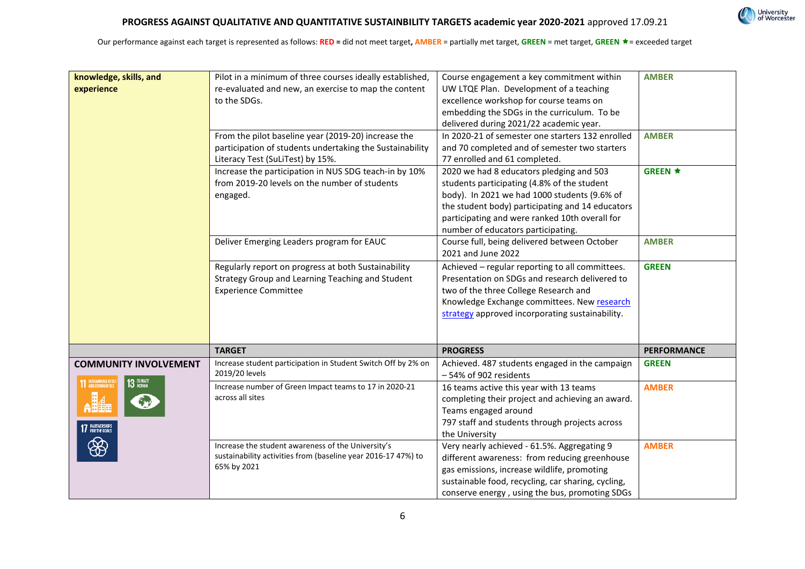| knowledge, skills, and<br>experience                                                   | Pilot in a minimum of three courses ideally established,<br>re-evaluated and new, an exercise to map the content<br>to the SDGs.<br>From the pilot baseline year (2019-20) increase the<br>participation of students undertaking the Sustainability<br>Literacy Test (SuLiTest) by 15%.<br>Increase the participation in NUS SDG teach-in by 10%<br>from 2019-20 levels on the number of students<br>engaged.<br>Deliver Emerging Leaders program for EAUC<br>Regularly report on progress at both Sustainability<br>Strategy Group and Learning Teaching and Student<br><b>Experience Committee</b> | Course engagement a key commitment within<br>UW LTQE Plan. Development of a teaching<br>excellence workshop for course teams on<br>embedding the SDGs in the curriculum. To be<br>delivered during 2021/22 academic year.<br>In 2020-21 of semester one starters 132 enrolled<br>and 70 completed and of semester two starters<br>77 enrolled and 61 completed.<br>2020 we had 8 educators pledging and 503<br>students participating (4.8% of the student<br>body). In 2021 we had 1000 students (9.6% of<br>the student body) participating and 14 educators<br>participating and were ranked 10th overall for<br>number of educators participating.<br>Course full, being delivered between October<br>2021 and June 2022<br>Achieved - regular reporting to all committees.<br>Presentation on SDGs and research delivered to<br>two of the three College Research and<br>Knowledge Exchange committees. New research<br>strategy approved incorporating sustainability. | <b>AMBER</b><br><b>AMBER</b><br><b>GREEN ★</b><br><b>AMBER</b><br><b>GREEN</b> |
|----------------------------------------------------------------------------------------|------------------------------------------------------------------------------------------------------------------------------------------------------------------------------------------------------------------------------------------------------------------------------------------------------------------------------------------------------------------------------------------------------------------------------------------------------------------------------------------------------------------------------------------------------------------------------------------------------|------------------------------------------------------------------------------------------------------------------------------------------------------------------------------------------------------------------------------------------------------------------------------------------------------------------------------------------------------------------------------------------------------------------------------------------------------------------------------------------------------------------------------------------------------------------------------------------------------------------------------------------------------------------------------------------------------------------------------------------------------------------------------------------------------------------------------------------------------------------------------------------------------------------------------------------------------------------------------|--------------------------------------------------------------------------------|
|                                                                                        | <b>TARGET</b>                                                                                                                                                                                                                                                                                                                                                                                                                                                                                                                                                                                        | <b>PROGRESS</b>                                                                                                                                                                                                                                                                                                                                                                                                                                                                                                                                                                                                                                                                                                                                                                                                                                                                                                                                                              | <b>PERFORMANCE</b>                                                             |
|                                                                                        |                                                                                                                                                                                                                                                                                                                                                                                                                                                                                                                                                                                                      |                                                                                                                                                                                                                                                                                                                                                                                                                                                                                                                                                                                                                                                                                                                                                                                                                                                                                                                                                                              |                                                                                |
| <b>COMMUNITY INVOLVEMENT</b>                                                           | Increase student participation in Student Switch Off by 2% on<br>2019/20 levels                                                                                                                                                                                                                                                                                                                                                                                                                                                                                                                      | Achieved. 487 students engaged in the campaign<br>-54% of 902 residents                                                                                                                                                                                                                                                                                                                                                                                                                                                                                                                                                                                                                                                                                                                                                                                                                                                                                                      | <b>GREEN</b>                                                                   |
| <b>1 SUSTAINABLE CITY</b><br><b>1</b> AND COMMUNITIES<br>13 GLIMATE<br>17 PARTNERSHIPS | Increase number of Green Impact teams to 17 in 2020-21<br>across all sites                                                                                                                                                                                                                                                                                                                                                                                                                                                                                                                           | 16 teams active this year with 13 teams<br>completing their project and achieving an award.<br>Teams engaged around<br>797 staff and students through projects across<br>the University                                                                                                                                                                                                                                                                                                                                                                                                                                                                                                                                                                                                                                                                                                                                                                                      | <b>AMBER</b>                                                                   |
|                                                                                        | Increase the student awareness of the University's<br>sustainability activities from (baseline year 2016-17 47%) to<br>65% by 2021                                                                                                                                                                                                                                                                                                                                                                                                                                                                   | Very nearly achieved - 61.5%. Aggregating 9<br>different awareness: from reducing greenhouse<br>gas emissions, increase wildlife, promoting<br>sustainable food, recycling, car sharing, cycling,<br>conserve energy, using the bus, promoting SDGs                                                                                                                                                                                                                                                                                                                                                                                                                                                                                                                                                                                                                                                                                                                          | <b>AMBER</b>                                                                   |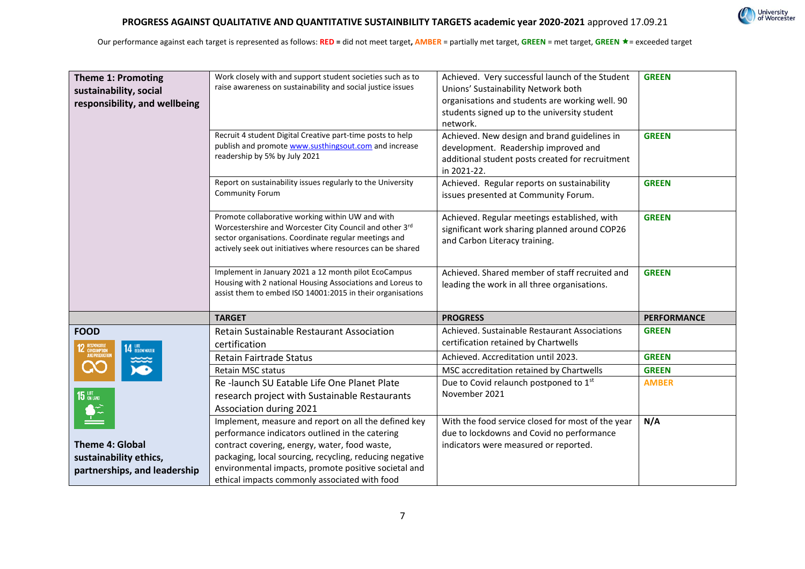

| <b>Theme 1: Promoting</b><br>sustainability, social<br>responsibility, and wellbeing | Work closely with and support student societies such as to<br>raise awareness on sustainability and social justice issues<br>Recruit 4 student Digital Creative part-time posts to help<br>publish and promote www.susthingsout.com and increase<br>readership by 5% by July 2021<br>Report on sustainability issues regularly to the University<br><b>Community Forum</b> | Achieved. Very successful launch of the Student<br>Unions' Sustainability Network both<br>organisations and students are working well. 90<br>students signed up to the university student<br>network.<br>Achieved. New design and brand guidelines in<br>development. Readership improved and<br>additional student posts created for recruitment<br>in 2021-22.<br>Achieved. Regular reports on sustainability<br>issues presented at Community Forum. | <b>GREEN</b><br><b>GREEN</b><br><b>GREEN</b> |
|--------------------------------------------------------------------------------------|----------------------------------------------------------------------------------------------------------------------------------------------------------------------------------------------------------------------------------------------------------------------------------------------------------------------------------------------------------------------------|---------------------------------------------------------------------------------------------------------------------------------------------------------------------------------------------------------------------------------------------------------------------------------------------------------------------------------------------------------------------------------------------------------------------------------------------------------|----------------------------------------------|
|                                                                                      | Promote collaborative working within UW and with<br>Worcestershire and Worcester City Council and other 3rd<br>sector organisations. Coordinate regular meetings and<br>actively seek out initiatives where resources can be shared                                                                                                                                        | Achieved. Regular meetings established, with<br>significant work sharing planned around COP26<br>and Carbon Literacy training.                                                                                                                                                                                                                                                                                                                          | <b>GREEN</b>                                 |
|                                                                                      | Implement in January 2021 a 12 month pilot EcoCampus<br>Housing with 2 national Housing Associations and Loreus to<br>assist them to embed ISO 14001:2015 in their organisations                                                                                                                                                                                           | Achieved. Shared member of staff recruited and<br>leading the work in all three organisations.                                                                                                                                                                                                                                                                                                                                                          | <b>GREEN</b>                                 |
|                                                                                      | <b>TARGET</b>                                                                                                                                                                                                                                                                                                                                                              | <b>PROGRESS</b>                                                                                                                                                                                                                                                                                                                                                                                                                                         | <b>PERFORMANCE</b>                           |
| <b>FOOD</b><br>14 BELOW WATER                                                        | Retain Sustainable Restaurant Association<br>certification                                                                                                                                                                                                                                                                                                                 | Achieved. Sustainable Restaurant Associations<br>certification retained by Chartwells                                                                                                                                                                                                                                                                                                                                                                   | <b>GREEN</b>                                 |
| <b>12 RESPONSIBLE</b><br>AND PRODUCTION                                              | <b>Retain Fairtrade Status</b>                                                                                                                                                                                                                                                                                                                                             | Achieved. Accreditation until 2023.                                                                                                                                                                                                                                                                                                                                                                                                                     | <b>GREEN</b>                                 |
|                                                                                      | <b>Retain MSC status</b>                                                                                                                                                                                                                                                                                                                                                   | MSC accreditation retained by Chartwells                                                                                                                                                                                                                                                                                                                                                                                                                | <b>GREEN</b>                                 |
| 15                                                                                   | Re-launch SU Eatable Life One Planet Plate<br>research project with Sustainable Restaurants<br>Association during 2021                                                                                                                                                                                                                                                     | Due to Covid relaunch postponed to 1 <sup>st</sup><br>November 2021                                                                                                                                                                                                                                                                                                                                                                                     | <b>AMBER</b>                                 |
|                                                                                      | Implement, measure and report on all the defined key<br>performance indicators outlined in the catering                                                                                                                                                                                                                                                                    | With the food service closed for most of the year<br>due to lockdowns and Covid no performance                                                                                                                                                                                                                                                                                                                                                          | N/A                                          |
| <b>Theme 4: Global</b>                                                               | contract covering, energy, water, food waste,                                                                                                                                                                                                                                                                                                                              | indicators were measured or reported.                                                                                                                                                                                                                                                                                                                                                                                                                   |                                              |
| sustainability ethics,                                                               | packaging, local sourcing, recycling, reducing negative                                                                                                                                                                                                                                                                                                                    |                                                                                                                                                                                                                                                                                                                                                                                                                                                         |                                              |
| partnerships, and leadership                                                         | environmental impacts, promote positive societal and<br>ethical impacts commonly associated with food                                                                                                                                                                                                                                                                      |                                                                                                                                                                                                                                                                                                                                                                                                                                                         |                                              |